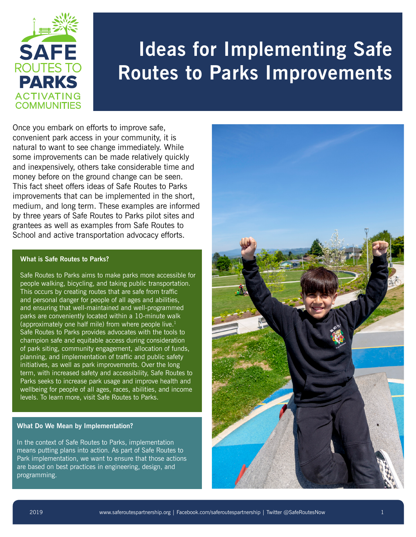

# **Ideas for Implementing Safe Routes to Parks Improvements**

Once you embark on efforts to improve safe, convenient park access in your community, it is natural to want to see change immediately. While some improvements can be made relatively quickly and inexpensively, others take considerable time and money before on the ground change can be seen. This fact sheet offers ideas of Safe Routes to Parks improvements that can be implemented in the short, medium, and long term. These examples are informed by three years of Safe Routes to Parks pilot sites and grantees as well as examples from Safe Routes to School and active transportation advocacy efforts.

#### **What is Safe Routes to Parks?**

Safe Routes to Parks aims to make parks more accessible for people walking, bicycling, and taking public transportation. This occurs by creating routes that are safe from traffic and personal danger for people of all ages and abilities, and ensuring that well-maintained and well-programmed parks are conveniently located within a 10-minute walk (approximately one half mile) from where people live. 1 Safe Routes to Parks provides advocates with the tools to champion safe and equitable access during consideration of park siting, community engagement, allocation of funds, planning, and implementation of traffic and public safety initiatives, as well as park improvements. Over the long term, with increased safety and accessibility, Safe Routes to Parks seeks to increase park usage and improve health and wellbeing for people of all ages, races, abilities, and income levels. To learn more, visit Safe Routes to Parks.

#### **What Do We Mean by Implementation?**

In the context of Safe Routes to Parks, implementation means putting plans into action. As part of Safe Routes to Park implementation, we want to ensure that those actions are based on best practices in engineering, design, and programming.

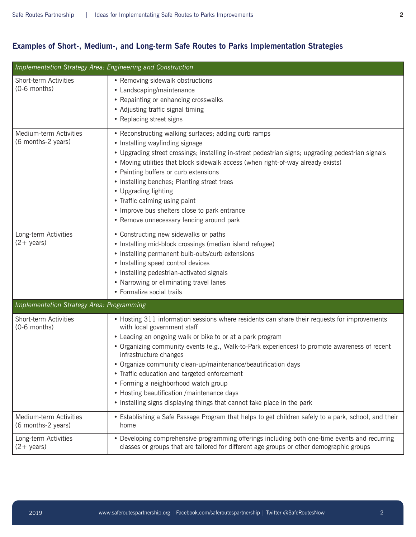## **Examples of Short-, Medium-, and Long-term Safe Routes to Parks Implementation Strategies**

| Implementation Strategy Area: Engineering and Construction |                                                                                                                                                                                                                                                                                                                                                                                                                                                                                                                                                                                                       |  |
|------------------------------------------------------------|-------------------------------------------------------------------------------------------------------------------------------------------------------------------------------------------------------------------------------------------------------------------------------------------------------------------------------------------------------------------------------------------------------------------------------------------------------------------------------------------------------------------------------------------------------------------------------------------------------|--|
| Short-term Activities<br>(0-6 months)                      | • Removing sidewalk obstructions<br>• Landscaping/maintenance<br>• Repainting or enhancing crosswalks<br>• Adjusting traffic signal timing<br>• Replacing street signs                                                                                                                                                                                                                                                                                                                                                                                                                                |  |
| Medium-term Activities<br>(6 months-2 years)               | • Reconstructing walking surfaces; adding curb ramps<br>• Installing wayfinding signage<br>• Upgrading street crossings; installing in-street pedestrian signs; upgrading pedestrian signals<br>• Moving utilities that block sidewalk access (when right-of-way already exists)<br>• Painting buffers or curb extensions<br>• Installing benches; Planting street trees<br>• Upgrading lighting<br>• Traffic calming using paint<br>• Improve bus shelters close to park entrance<br>• Remove unnecessary fencing around park                                                                        |  |
| Long-term Activities<br>$(2 + \text{years})$               | • Constructing new sidewalks or paths<br>• Installing mid-block crossings (median island refugee)<br>• Installing permanent bulb-outs/curb extensions<br>• Installing speed control devices<br>• Installing pedestrian-activated signals<br>• Narrowing or eliminating travel lanes<br>• Formalize social trails                                                                                                                                                                                                                                                                                      |  |
| <b>Implementation Strategy Area: Programming</b>           |                                                                                                                                                                                                                                                                                                                                                                                                                                                                                                                                                                                                       |  |
| Short-term Activities<br>(0-6 months)                      | • Hosting 311 information sessions where residents can share their requests for improvements<br>with local government staff<br>• Leading an ongoing walk or bike to or at a park program<br>• Organizing community events (e.g., Walk-to-Park experiences) to promote awareness of recent<br>infrastructure changes<br>• Organize community clean-up/maintenance/beautification days<br>• Traffic education and targeted enforcement<br>• Forming a neighborhood watch group<br>• Hosting beautification /maintenance days<br>• Installing signs displaying things that cannot take place in the park |  |
| Medium-term Activities<br>(6 months-2 years)               | • Establishing a Safe Passage Program that helps to get children safely to a park, school, and their<br>home                                                                                                                                                                                                                                                                                                                                                                                                                                                                                          |  |
| Long-term Activities<br>$(2 + \text{years})$               | • Developing comprehensive programming offerings including both one-time events and recurring<br>classes or groups that are tailored for different age groups or other demographic groups                                                                                                                                                                                                                                                                                                                                                                                                             |  |